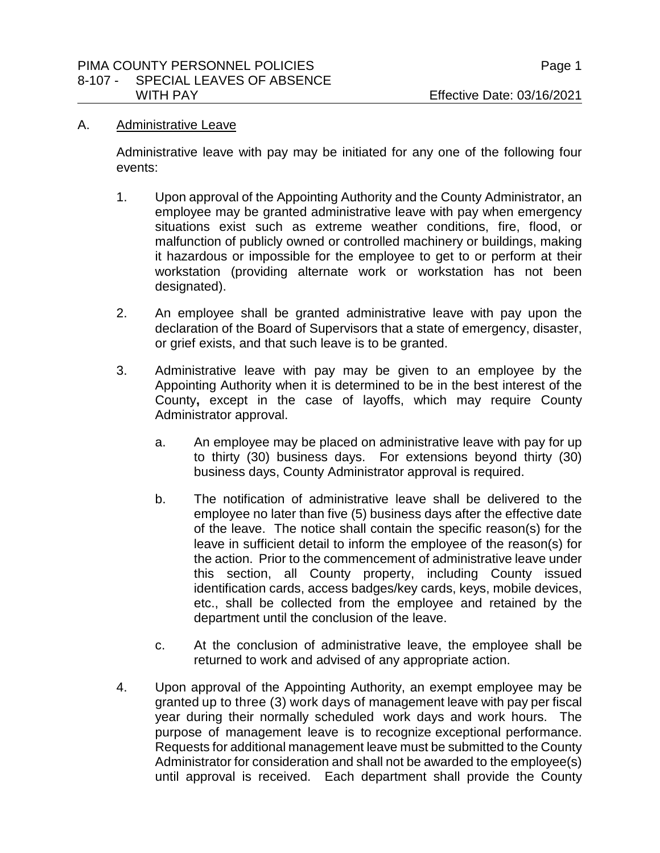#### A. Administrative Leave

Administrative leave with pay may be initiated for any one of the following four events:

- 1. Upon approval of the Appointing Authority and the County Administrator, an employee may be granted administrative leave with pay when emergency situations exist such as extreme weather conditions, fire, flood, or malfunction of publicly owned or controlled machinery or buildings, making it hazardous or impossible for the employee to get to or perform at their workstation (providing alternate work or workstation has not been designated).
- 2. An employee shall be granted administrative leave with pay upon the declaration of the Board of Supervisors that a state of emergency, disaster, or grief exists, and that such leave is to be granted.
- 3. Administrative leave with pay may be given to an employee by the Appointing Authority when it is determined to be in the best interest of the County**,** except in the case of layoffs, which may require County Administrator approval.
	- a. An employee may be placed on administrative leave with pay for up to thirty (30) business days. For extensions beyond thirty (30) business days, County Administrator approval is required.
	- b. The notification of administrative leave shall be delivered to the employee no later than five (5) business days after the effective date of the leave. The notice shall contain the specific reason(s) for the leave in sufficient detail to inform the employee of the reason(s) for the action. Prior to the commencement of administrative leave under this section, all County property, including County issued identification cards, access badges/key cards, keys, mobile devices, etc., shall be collected from the employee and retained by the department until the conclusion of the leave.
	- c. At the conclusion of administrative leave, the employee shall be returned to work and advised of any appropriate action.
- 4. Upon approval of the Appointing Authority, an exempt employee may be granted up to three (3) work days of management leave with pay per fiscal year during their normally scheduled work days and work hours. The purpose of management leave is to recognize exceptional performance. Requests for additional management leave must be submitted to the County Administrator for consideration and shall not be awarded to the employee(s) until approval is received. Each department shall provide the County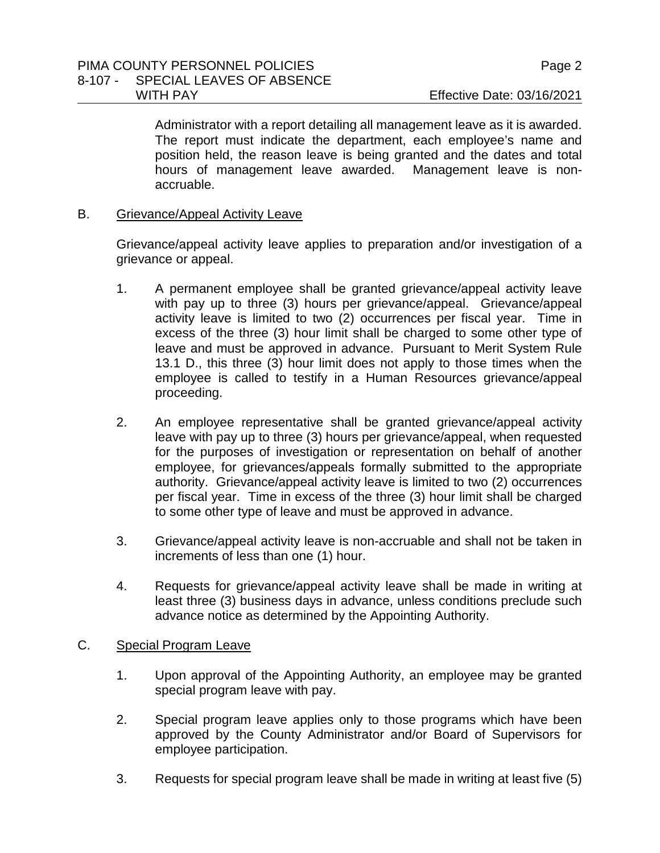Administrator with a report detailing all management leave as it is awarded. The report must indicate the department, each employee's name and position held, the reason leave is being granted and the dates and total hours of management leave awarded. Management leave is nonaccruable.

B. Grievance/Appeal Activity Leave

Grievance/appeal activity leave applies to preparation and/or investigation of a grievance or appeal.

- 1. A permanent employee shall be granted grievance/appeal activity leave with pay up to three (3) hours per grievance/appeal. Grievance/appeal activity leave is limited to two (2) occurrences per fiscal year. Time in excess of the three (3) hour limit shall be charged to some other type of leave and must be approved in advance. Pursuant to Merit System Rule 13.1 D., this three (3) hour limit does not apply to those times when the employee is called to testify in a Human Resources grievance/appeal proceeding.
- 2. An employee representative shall be granted grievance/appeal activity leave with pay up to three (3) hours per grievance/appeal, when requested for the purposes of investigation or representation on behalf of another employee, for grievances/appeals formally submitted to the appropriate authority. Grievance/appeal activity leave is limited to two (2) occurrences per fiscal year. Time in excess of the three (3) hour limit shall be charged to some other type of leave and must be approved in advance.
- 3. Grievance/appeal activity leave is non-accruable and shall not be taken in increments of less than one (1) hour.
- 4. Requests for grievance/appeal activity leave shall be made in writing at least three (3) business days in advance, unless conditions preclude such advance notice as determined by the Appointing Authority.

## C. Special Program Leave

- 1. Upon approval of the Appointing Authority, an employee may be granted special program leave with pay.
- 2. Special program leave applies only to those programs which have been approved by the County Administrator and/or Board of Supervisors for employee participation.
- 3. Requests for special program leave shall be made in writing at least five (5)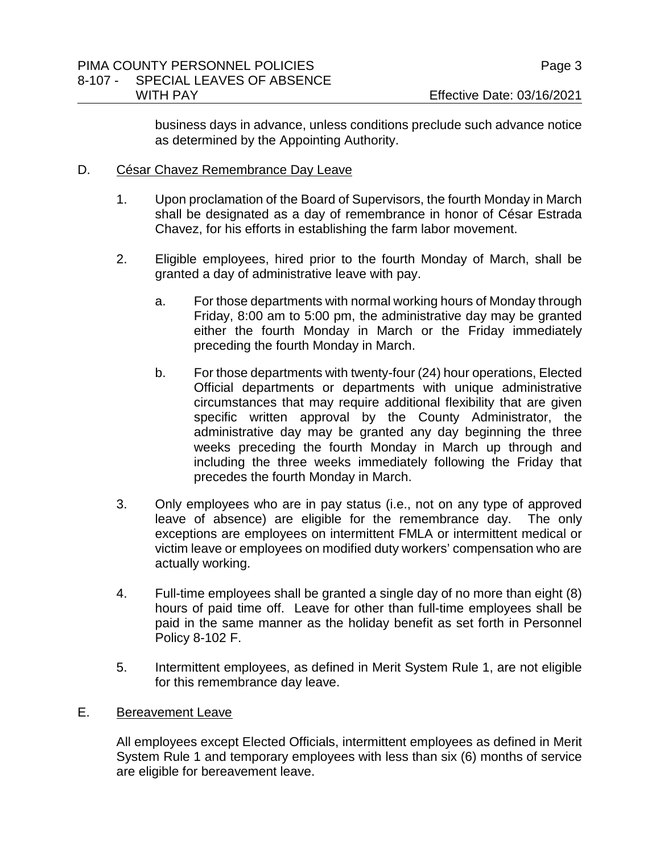business days in advance, unless conditions preclude such advance notice as determined by the Appointing Authority.

# D. César Chavez Remembrance Day Leave

- 1. Upon proclamation of the Board of Supervisors, the fourth Monday in March shall be designated as a day of remembrance in honor of César Estrada Chavez, for his efforts in establishing the farm labor movement.
- 2. Eligible employees, hired prior to the fourth Monday of March, shall be granted a day of administrative leave with pay.
	- a. For those departments with normal working hours of Monday through Friday, 8:00 am to 5:00 pm, the administrative day may be granted either the fourth Monday in March or the Friday immediately preceding the fourth Monday in March.
	- b. For those departments with twenty-four (24) hour operations, Elected Official departments or departments with unique administrative circumstances that may require additional flexibility that are given specific written approval by the County Administrator, the administrative day may be granted any day beginning the three weeks preceding the fourth Monday in March up through and including the three weeks immediately following the Friday that precedes the fourth Monday in March.
- 3. Only employees who are in pay status (i.e., not on any type of approved leave of absence) are eligible for the remembrance day. The only exceptions are employees on intermittent FMLA or intermittent medical or victim leave or employees on modified duty workers' compensation who are actually working.
- 4. Full-time employees shall be granted a single day of no more than eight (8) hours of paid time off. Leave for other than full-time employees shall be paid in the same manner as the holiday benefit as set forth in Personnel Policy 8-102 F.
- 5. Intermittent employees, as defined in Merit System Rule 1, are not eligible for this remembrance day leave.

## E. Bereavement Leave

All employees except Elected Officials, intermittent employees as defined in Merit System Rule 1 and temporary employees with less than six (6) months of service are eligible for bereavement leave.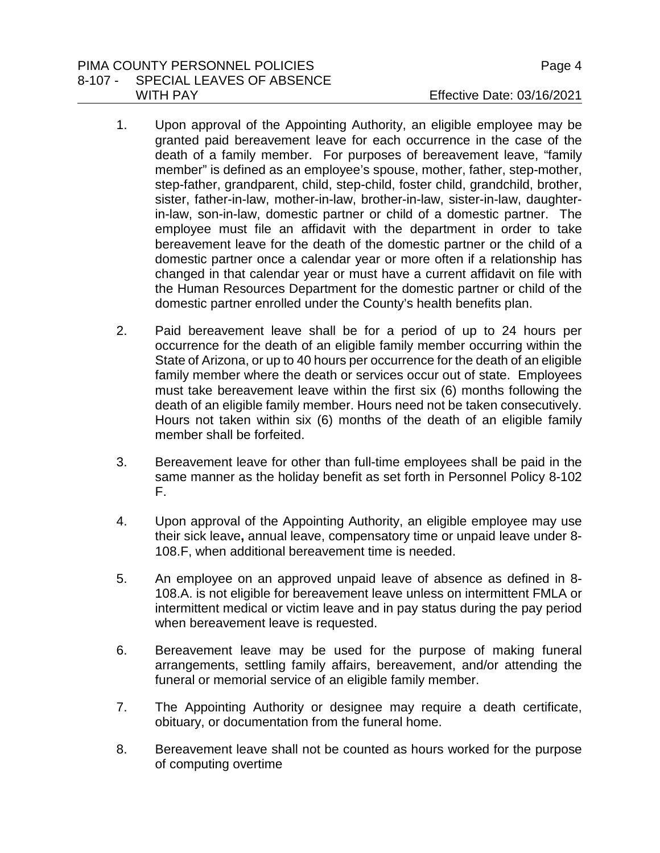#### PIMA COUNTY PERSONNEL POLICIES **PROPRIATION** Page 4 8-107 - SPECIAL LEAVES OF ABSENCE WITH PAY **Effective Date: 03/16/2021**

- 1. Upon approval of the Appointing Authority, an eligible employee may be granted paid bereavement leave for each occurrence in the case of the death of a family member. For purposes of bereavement leave, "family member" is defined as an employee's spouse, mother, father, step-mother, step-father, grandparent, child, step-child, foster child, grandchild, brother, sister, father-in-law, mother-in-law, brother-in-law, sister-in-law, daughterin-law, son-in-law, domestic partner or child of a domestic partner. The employee must file an affidavit with the department in order to take bereavement leave for the death of the domestic partner or the child of a domestic partner once a calendar year or more often if a relationship has changed in that calendar year or must have a current affidavit on file with the Human Resources Department for the domestic partner or child of the domestic partner enrolled under the County's health benefits plan.
- 2. Paid bereavement leave shall be for a period of up to 24 hours per occurrence for the death of an eligible family member occurring within the State of Arizona, or up to 40 hours per occurrence for the death of an eligible family member where the death or services occur out of state. Employees must take bereavement leave within the first six (6) months following the death of an eligible family member. Hours need not be taken consecutively. Hours not taken within six (6) months of the death of an eligible family member shall be forfeited.
- 3. Bereavement leave for other than full-time employees shall be paid in the same manner as the holiday benefit as set forth in Personnel Policy 8-102 F.
- 4. Upon approval of the Appointing Authority, an eligible employee may use their sick leave**,** annual leave, compensatory time or unpaid leave under 8- 108.F, when additional bereavement time is needed.
- 5. An employee on an approved unpaid leave of absence as defined in 8- 108.A. is not eligible for bereavement leave unless on intermittent FMLA or intermittent medical or victim leave and in pay status during the pay period when bereavement leave is requested.
- 6. Bereavement leave may be used for the purpose of making funeral arrangements, settling family affairs, bereavement, and/or attending the funeral or memorial service of an eligible family member.
- 7. The Appointing Authority or designee may require a death certificate, obituary, or documentation from the funeral home.
- 8. Bereavement leave shall not be counted as hours worked for the purpose of computing overtime